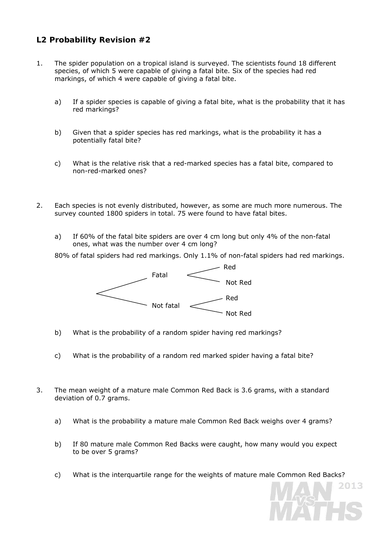## **L2 Probability Revision #2**

- 1. The spider population on a tropical island is surveyed. The scientists found 18 different species, of which 5 were capable of giving a fatal bite. Six of the species had red markings, of which 4 were capable of giving a fatal bite.
	- a) If a spider species is capable of giving a fatal bite, what is the probability that it has red markings?
	- b) Given that a spider species has red markings, what is the probability it has a potentially fatal bite?
	- c) What is the relative risk that a red-marked species has a fatal bite, compared to non-red-marked ones?
- 2. Each species is not evenly distributed, however, as some are much more numerous. The survey counted 1800 spiders in total. 75 were found to have fatal bites.
	- a) If 60% of the fatal bite spiders are over 4 cm long but only 4% of the non-fatal ones, what was the number over 4 cm long?

80% of fatal spiders had red markings. Only 1.1% of non-fatal spiders had red markings.



- b) What is the probability of a random spider having red markings?
- c) What is the probability of a random red marked spider having a fatal bite?
- 3. The mean weight of a mature male Common Red Back is 3.6 grams, with a standard deviation of 0.7 grams.
	- a) What is the probability a mature male Common Red Back weighs over 4 grams?
	- b) If 80 mature male Common Red Backs were caught, how many would you expect to be over 5 grams?
	- c) What is the interquartile range for the weights of mature male Common Red Backs?

2013